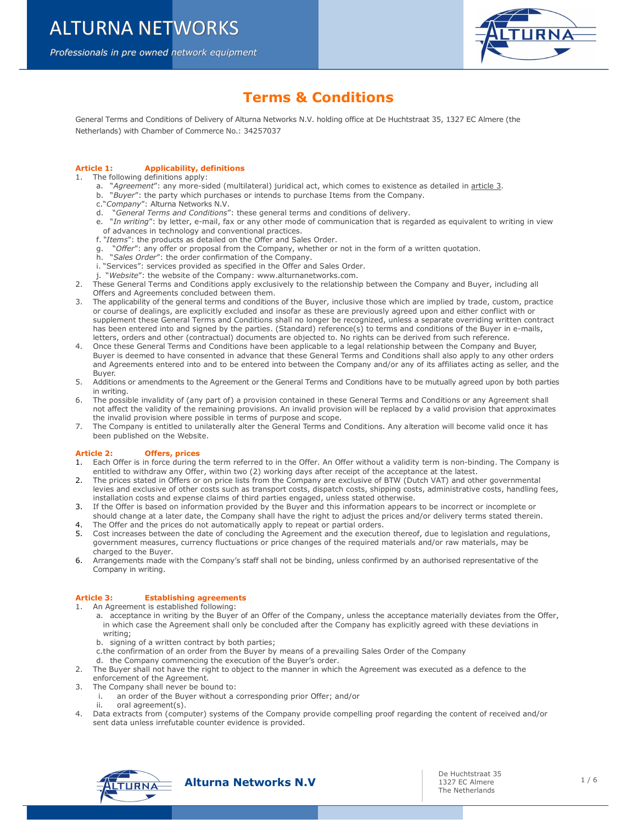Professionals in pre owned network equipment Professionals in pre owned network equipment



# Terms & Conditions

General Terms and Conditions of Delivery of Alturna Networks N.V. holding office at De Huchtstraat 35, 1327 EC Almere (the Netherlands) with Chamber of Commerce No.: 34257037

# Article 1: Applicability, definitions

- 1. The following definitions apply:
	- a. "Agreement": any more-sided (multilateral) juridical act, which comes to existence as detailed in article 3.
	- b. "Buyer": the party which purchases or intends to purchase Items from the Company.
	- c."Company": Alturna Networks N.V.
	- d. "General Terms and Conditions": these general terms and conditions of delivery.
	- e. "In writing": by letter, e-mail, fax or any other mode of communication that is regarded as equivalent to writing in view of advances in technology and conventional practices.
	- f. "Items": the products as detailed on the Offer and Sales Order.
	- "Offer": any offer or proposal from the Company, whether or not in the form of a written quotation.
	- g. "Offer": any offer or proposal from the Company, ....<br>h. "Sales Order": the order confirmation of the Company.
	- i. "Services": services provided as specified in the Offer and Sales Order.
	- j. "Website": the website of the Company: www.alturnanetworks.com.
- 2. These General Terms and Conditions apply exclusively to the relationship between the Company and Buyer, including all Offers and Agreements concluded between them.
- 3. The applicability of the general terms and conditions of the Buyer, inclusive those which are implied by trade, custom, practice or course of dealings, are explicitly excluded and insofar as these are previously agreed upon and either conflict with or supplement these General Terms and Conditions shall no longer be recognized, unless a separate overriding written contract has been entered into and signed by the parties. (Standard) reference(s) to terms and conditions of the Buyer in e-mails, letters, orders and other (contractual) documents are objected to. No rights can be derived from such reference.
- 4. Once these General Terms and Conditions have been applicable to a legal relationship between the Company and Buyer, Buyer is deemed to have consented in advance that these General Terms and Conditions shall also apply to any other orders and Agreements entered into and to be entered into between the Company and/or any of its affiliates acting as seller, and the Buyer.
- 5. Additions or amendments to the Agreement or the General Terms and Conditions have to be mutually agreed upon by both parties in writing.
- 6. The possible invalidity of (any part of) a provision contained in these General Terms and Conditions or any Agreement shall not affect the validity of the remaining provisions. An invalid provision will be replaced by a valid provision that approximates the invalid provision where possible in terms of purpose and scope.
- 7. The Company is entitled to unilaterally alter the General Terms and Conditions. Any alteration will become valid once it has been published on the Website.

# Article 2: Offers, prices

- 1. Each Offer is in force during the term referred to in the Offer. An Offer without a validity term is non-binding. The Company is entitled to withdraw any Offer, within two (2) working days after receipt of the acceptance at the latest.
- 2. The prices stated in Offers or on price lists from the Company are exclusive of BTW (Dutch VAT) and other governmental levies and exclusive of other costs such as transport costs, dispatch costs, shipping costs, administrative costs, handling fees, installation costs and expense claims of third parties engaged, unless stated otherwise.
- 3. If the Offer is based on information provided by the Buyer and this information appears to be incorrect or incomplete or should change at a later date, the Company shall have the right to adjust the prices and/or delivery terms stated therein.
- 4. The Offer and the prices do not automatically apply to repeat or partial orders.
- 5. Cost increases between the date of concluding the Agreement and the execution thereof, due to legislation and regulations, government measures, currency fluctuations or price changes of the required materials and/or raw materials, may be charged to the Buyer.
- 6. Arrangements made with the Company's staff shall not be binding, unless confirmed by an authorised representative of the Company in writing.

# Article 3: Establishing agreements

1. An Agreement is established following:

- a. acceptance in writing by the Buyer of an Offer of the Company, unless the acceptance materially deviates from the Offer, in which case the Agreement shall only be concluded after the Company has explicitly agreed with these deviations in writing;
- b. signing of a written contract by both parties;
- c.the confirmation of an order from the Buyer by means of a prevailing Sales Order of the Company
- d. the Company commencing the execution of the Buyer's order.
- 2. The Buyer shall not have the right to object to the manner in which the Agreement was executed as a defence to the enforcement of the Agreement.
- 3. The Company shall never be bound to:
	- i. an order of the Buyer without a corresponding prior Offer; and/or
	- ii. oral agreement(s).
- 4. Data extracts from (computer) systems of the Company provide compelling proof regarding the content of received and/or sent data unless irrefutable counter evidence is provided.

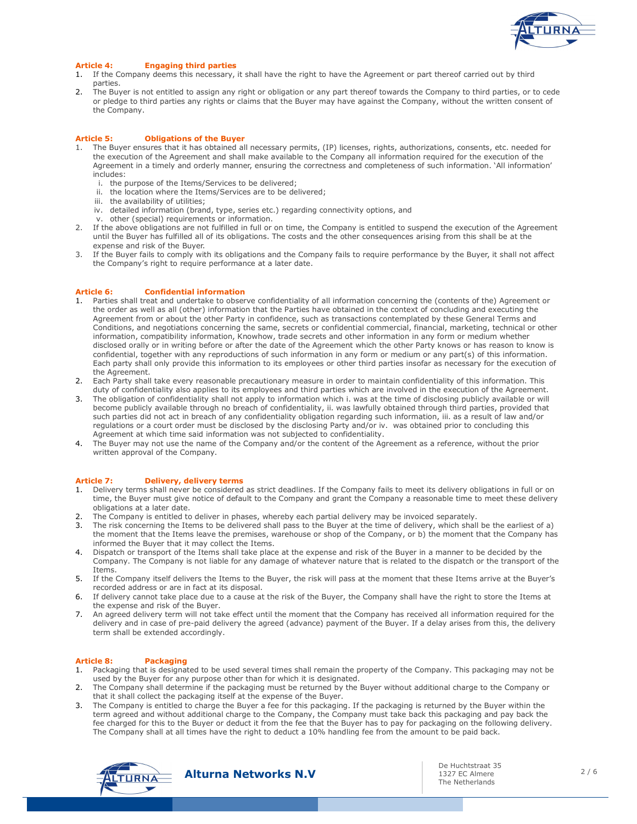

# Article 4: Engaging third parties

- 1. If the Company deems this necessary, it shall have the right to have the Agreement or part thereof carried out by third parties.
- 2. The Buyer is not entitled to assign any right or obligation or any part thereof towards the Company to third parties, or to cede or pledge to third parties any rights or claims that the Buyer may have against the Company, without the written consent of the Company.

## Article 5: Obligations of the Buyer

- 1. The Buyer ensures that it has obtained all necessary permits, (IP) licenses, rights, authorizations, consents, etc. needed for the execution of the Agreement and shall make available to the Company all information required for the execution of the Agreement in a timely and orderly manner, ensuring the correctness and completeness of such information. 'All information' includes:
	- i. the purpose of the Items/Services to be delivered;
	- ii. the location where the Items/Services are to be delivered;
	- iii. the availability of utilities;
	- iv. detailed information (brand, type, series etc.) regarding connectivity options, and
	- v. other (special) requirements or information.
- 2. If the above obligations are not fulfilled in full or on time, the Company is entitled to suspend the execution of the Agreement until the Buyer has fulfilled all of its obligations. The costs and the other consequences arising from this shall be at the expense and risk of the Buyer.
- 3. If the Buyer fails to comply with its obligations and the Company fails to require performance by the Buyer, it shall not affect the Company's right to require performance at a later date.

#### Article 6: Confidential information

- 1. Parties shall treat and undertake to observe confidentiality of all information concerning the (contents of the) Agreement or the order as well as all (other) information that the Parties have obtained in the context of concluding and executing the Agreement from or about the other Party in confidence, such as transactions contemplated by these General Terms and Conditions, and negotiations concerning the same, secrets or confidential commercial, financial, marketing, technical or other information, compatibility information, Knowhow, trade secrets and other information in any form or medium whether disclosed orally or in writing before or after the date of the Agreement which the other Party knows or has reason to know is confidential, together with any reproductions of such information in any form or medium or any part(s) of this information. Each party shall only provide this information to its employees or other third parties insofar as necessary for the execution of the Agreement.
- 2. Each Party shall take every reasonable precautionary measure in order to maintain confidentiality of this information. This duty of confidentiality also applies to its employees and third parties which are involved in the execution of the Agreement.
- 3. The obligation of confidentiality shall not apply to information which i. was at the time of disclosing publicly available or will become publicly available through no breach of confidentiality, ii. was lawfully obtained through third parties, provided that such parties did not act in breach of any confidentiality obligation regarding such information, iii. as a result of law and/or regulations or a court order must be disclosed by the disclosing Party and/or iv. was obtained prior to concluding this Agreement at which time said information was not subjected to confidentiality.
- 4. The Buyer may not use the name of the Company and/or the content of the Agreement as a reference, without the prior written approval of the Company.

#### Article 7: Delivery, delivery terms

- 1. Delivery terms shall never be considered as strict deadlines. If the Company fails to meet its delivery obligations in full or on time, the Buyer must give notice of default to the Company and grant the Company a reasonable time to meet these delivery obligations at a later date.
- 2. The Company is entitled to deliver in phases, whereby each partial delivery may be invoiced separately.
- The risk concerning the Items to be delivered shall pass to the Buyer at the time of delivery, which shall be the earliest of a) the moment that the Items leave the premises, warehouse or shop of the Company, or b) the moment that the Company has informed the Buyer that it may collect the Items.
- 4. Dispatch or transport of the Items shall take place at the expense and risk of the Buyer in a manner to be decided by the Company. The Company is not liable for any damage of whatever nature that is related to the dispatch or the transport of the Items.
- 5. If the Company itself delivers the Items to the Buyer, the risk will pass at the moment that these Items arrive at the Buyer's recorded address or are in fact at its disposal.
- 6. If delivery cannot take place due to a cause at the risk of the Buyer, the Company shall have the right to store the Items at the expense and risk of the Buyer.
- 7. An agreed delivery term will not take effect until the moment that the Company has received all information required for the delivery and in case of pre-paid delivery the agreed (advance) payment of the Buyer. If a delay arises from this, the delivery term shall be extended accordingly.

## Article 8: Packaging

- 1. Packaging that is designated to be used several times shall remain the property of the Company. This packaging may not be used by the Buyer for any purpose other than for which it is designated.
- 2. The Company shall determine if the packaging must be returned by the Buyer without additional charge to the Company or that it shall collect the packaging itself at the expense of the Buyer.
- 3. The Company is entitled to charge the Buyer a fee for this packaging. If the packaging is returned by the Buyer within the term agreed and without additional charge to the Company, the Company must take back this packaging and pay back the fee charged for this to the Buyer or deduct it from the fee that the Buyer has to pay for packaging on the following delivery. The Company shall at all times have the right to deduct a 10% handling fee from the amount to be paid back.

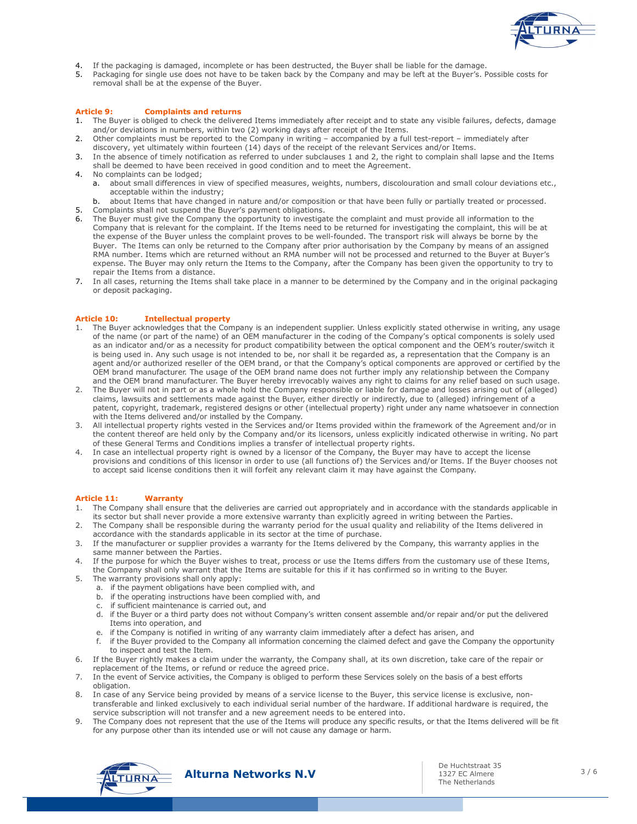

- If the packaging is damaged, incomplete or has been destructed, the Buyer shall be liable for the damage.
- 5. Packaging for single use does not have to be taken back by the Company and may be left at the Buyer's. Possible costs for removal shall be at the expense of the Buyer.

### Article 9: Complaints and returns

- 1. The Buyer is obliged to check the delivered Items immediately after receipt and to state any visible failures, defects, damage and/or deviations in numbers, within two (2) working days after receipt of the Items.
- 2. Other complaints must be reported to the Company in writing accompanied by a full test-report immediately after discovery, yet ultimately within fourteen (14) days of the receipt of the relevant Services and/or Items.
- 3. In the absence of timely notification as referred to under subclauses 1 and 2, the right to complain shall lapse and the Items shall be deemed to have been received in good condition and to meet the Agreement.
- 4. No complaints can be lodged;
	- a. about small differences in view of specified measures, weights, numbers, discolouration and small colour deviations etc., acceptable within the industry;
	- b. about Items that have changed in nature and/or composition or that have been fully or partially treated or processed.
- 5. Complaints shall not suspend the Buyer's payment obligations.
- 6. The Buyer must give the Company the opportunity to investigate the complaint and must provide all information to the Company that is relevant for the complaint. If the Items need to be returned for investigating the complaint, this will be at the expense of the Buyer unless the complaint proves to be well-founded. The transport risk will always be borne by the Buyer. The Items can only be returned to the Company after prior authorisation by the Company by means of an assigned RMA number. Items which are returned without an RMA number will not be processed and returned to the Buyer at Buyer's expense. The Buyer may only return the Items to the Company, after the Company has been given the opportunity to try to repair the Items from a distance.
- 7. In all cases, returning the Items shall take place in a manner to be determined by the Company and in the original packaging or deposit packaging.

## Article 10: Intellectual property

- 1. The Buyer acknowledges that the Company is an independent supplier. Unless explicitly stated otherwise in writing, any usage of the name (or part of the name) of an OEM manufacturer in the coding of the Company's optical components is solely used as an indicator and/or as a necessity for product compatibility between the optical component and the OEM's router/switch it is being used in. Any such usage is not intended to be, nor shall it be regarded as, a representation that the Company is an agent and/or authorized reseller of the OEM brand, or that the Company's optical components are approved or certified by the OEM brand manufacturer. The usage of the OEM brand name does not further imply any relationship between the Company and the OEM brand manufacturer. The Buyer hereby irrevocably waives any right to claims for any relief based on such usage.
- 2. The Buyer will not in part or as a whole hold the Company responsible or liable for damage and losses arising out of (alleged) claims, lawsuits and settlements made against the Buyer, either directly or indirectly, due to (alleged) infringement of a patent, copyright, trademark, registered designs or other (intellectual property) right under any name whatsoever in connection with the Items delivered and/or installed by the Company.
- 3. All intellectual property rights vested in the Services and/or Items provided within the framework of the Agreement and/or in the content thereof are held only by the Company and/or its licensors, unless explicitly indicated otherwise in writing. No part of these General Terms and Conditions implies a transfer of intellectual property rights.
- 4. In case an intellectual property right is owned by a licensor of the Company, the Buyer may have to accept the license provisions and conditions of this licensor in order to use (all functions of) the Services and/or Items. If the Buyer chooses not to accept said license conditions then it will forfeit any relevant claim it may have against the Company.

#### Article 11: Warranty

- 1. The Company shall ensure that the deliveries are carried out appropriately and in accordance with the standards applicable in its sector but shall never provide a more extensive warranty than explicitly agreed in writing between the Parties.
- 2. The Company shall be responsible during the warranty period for the usual quality and reliability of the Items delivered in accordance with the standards applicable in its sector at the time of purchase.
- 3. If the manufacturer or supplier provides a warranty for the Items delivered by the Company, this warranty applies in the same manner between the Parties.
- 4. If the purpose for which the Buyer wishes to treat, process or use the Items differs from the customary use of these Items, the Company shall only warrant that the Items are suitable for this if it has confirmed so in writing to the Buyer.
- 5. The warranty provisions shall only apply:
	- a. if the payment obligations have been complied with, and
	- b. if the operating instructions have been complied with, and
	- c. if sufficient maintenance is carried out, and
	- d. if the Buyer or a third party does not without Company's written consent assemble and/or repair and/or put the delivered Items into operation, and
	- e. if the Company is notified in writing of any warranty claim immediately after a defect has arisen, and
	- f. if the Buyer provided to the Company all information concerning the claimed defect and gave the Company the opportunity to inspect and test the Item.
- 6. If the Buyer rightly makes a claim under the warranty, the Company shall, at its own discretion, take care of the repair or replacement of the Items, or refund or reduce the agreed price.
- 7. In the event of Service activities, the Company is obliged to perform these Services solely on the basis of a best efforts obligation.
- 8. In case of any Service being provided by means of a service license to the Buyer, this service license is exclusive, nontransferable and linked exclusively to each individual serial number of the hardware. If additional hardware is required, the service subscription will not transfer and a new agreement needs to be entered into.
- 9. The Company does not represent that the use of the Items will produce any specific results, or that the Items delivered will be fit for any purpose other than its intended use or will not cause any damage or harm.

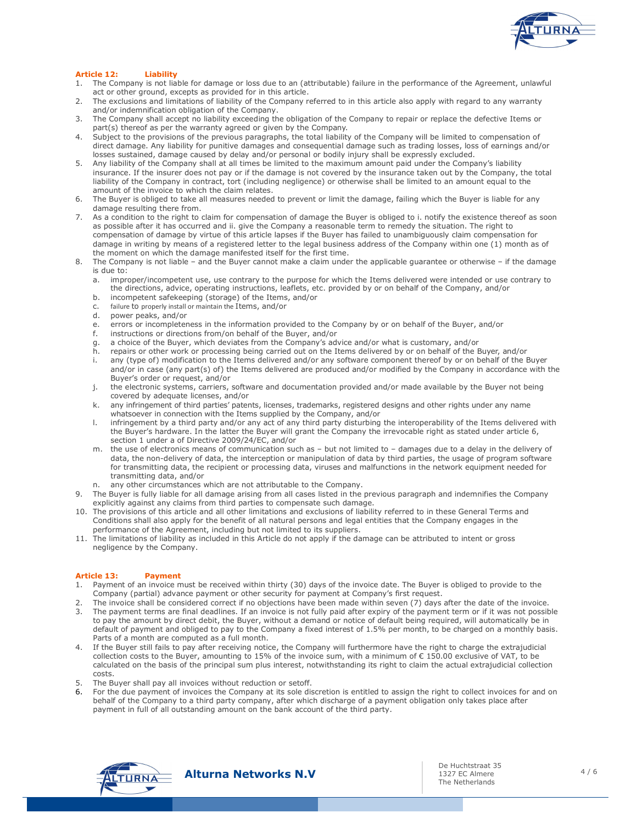

# Article 12: Liability

- 1. The Company is not liable for damage or loss due to an (attributable) failure in the performance of the Agreement, unlawful act or other ground, excepts as provided for in this article.
- 2. The exclusions and limitations of liability of the Company referred to in this article also apply with regard to any warranty and/or indemnification obligation of the Company.
- 3. The Company shall accept no liability exceeding the obligation of the Company to repair or replace the defective Items or part(s) thereof as per the warranty agreed or given by the Company.
- 4. Subject to the provisions of the previous paragraphs, the total liability of the Company will be limited to compensation of direct damage. Any liability for punitive damages and consequential damage such as trading losses, loss of earnings and/or losses sustained, damage caused by delay and/or personal or bodily injury shall be expressly excluded.
- 5. Any liability of the Company shall at all times be limited to the maximum amount paid under the Company's liability insurance. If the insurer does not pay or if the damage is not covered by the insurance taken out by the Company, the total liability of the Company in contract, tort (including negligence) or otherwise shall be limited to an amount equal to the amount of the invoice to which the claim relates.
- 6. The Buyer is obliged to take all measures needed to prevent or limit the damage, failing which the Buyer is liable for any damage resulting there from.
- 7. As a condition to the right to claim for compensation of damage the Buyer is obliged to i. notify the existence thereof as soon as possible after it has occurred and ii. give the Company a reasonable term to remedy the situation. The right to compensation of damage by virtue of this article lapses if the Buyer has failed to unambiguously claim compensation for damage in writing by means of a registered letter to the legal business address of the Company within one (1) month as of the moment on which the damage manifested itself for the first time.
- 8. The Company is not liable and the Buyer cannot make a claim under the applicable guarantee or otherwise if the damage is due to:
	- a. improper/incompetent use, use contrary to the purpose for which the Items delivered were intended or use contrary to the directions, advice, operating instructions, leaflets, etc. provided by or on behalf of the Company, and/or
	- b. incompetent safekeeping (storage) of the Items, and/or
	- c. failure to properly install or maintain the Items, and/or
	- d. power peaks, and/or
	- e. errors or incompleteness in the information provided to the Company by or on behalf of the Buyer, and/or
	- f. instructions or directions from/on behalf of the Buyer, and/or
	- g. a choice of the Buyer, which deviates from the Company's advice and/or what is customary, and/or
	- h. repairs or other work or processing being carried out on the Items delivered by or on behalf of the Buyer, and/or i. any (type of) modification to the Items delivered and/or any software component thereof by or on behalf of the Buyer and/or in case (any part(s) of) the Items delivered are produced and/or modified by the Company in accordance with the
	- Buyer's order or request, and/or j. the electronic systems, carriers, software and documentation provided and/or made available by the Buyer not being covered by adequate licenses, and/or
	- k. any infringement of third parties' patents, licenses, trademarks, registered designs and other rights under any name whatsoever in connection with the Items supplied by the Company, and/or
	- l. infringement by a third party and/or any act of any third party disturbing the interoperability of the Items delivered with the Buyer's hardware. In the latter the Buyer will grant the Company the irrevocable right as stated under article 6, section 1 under a of Directive 2009/24/EC, and/or
	- m. the use of electronics means of communication such as but not limited to damages due to a delay in the delivery of data, the non-delivery of data, the interception or manipulation of data by third parties, the usage of program software for transmitting data, the recipient or processing data, viruses and malfunctions in the network equipment needed for transmitting data, and/or
	- n. any other circumstances which are not attributable to the Company.
- 9. The Buyer is fully liable for all damage arising from all cases listed in the previous paragraph and indemnifies the Company explicitly against any claims from third parties to compensate such damage.
- 10. The provisions of this article and all other limitations and exclusions of liability referred to in these General Terms and Conditions shall also apply for the benefit of all natural persons and legal entities that the Company engages in the performance of the Agreement, including but not limited to its suppliers.
- 11. The limitations of liability as included in this Article do not apply if the damage can be attributed to intent or gross negligence by the Company.

## Article 13: Payment

- 1. Payment of an invoice must be received within thirty (30) days of the invoice date. The Buyer is obliged to provide to the Company (partial) advance payment or other security for payment at Company's first request.
- 2. The invoice shall be considered correct if no objections have been made within seven (7) days after the date of the invoice.
- 3. The payment terms are final deadlines. If an invoice is not fully paid after expiry of the payment term or if it was not possible to pay the amount by direct debit, the Buyer, without a demand or notice of default being required, will automatically be in default of payment and obliged to pay to the Company a fixed interest of 1.5% per month, to be charged on a monthly basis. Parts of a month are computed as a full month.
- 4. If the Buyer still fails to pay after receiving notice, the Company will furthermore have the right to charge the extrajudicial collection costs to the Buyer, amounting to 15% of the invoice sum, with a minimum of € 150.00 exclusive of VAT, to be calculated on the basis of the principal sum plus interest, notwithstanding its right to claim the actual extrajudicial collection costs.
- 5. The Buyer shall pay all invoices without reduction or setoff.
- 6. For the due payment of invoices the Company at its sole discretion is entitled to assign the right to collect invoices for and on behalf of the Company to a third party company, after which discharge of a payment obligation only takes place after payment in full of all outstanding amount on the bank account of the third party.

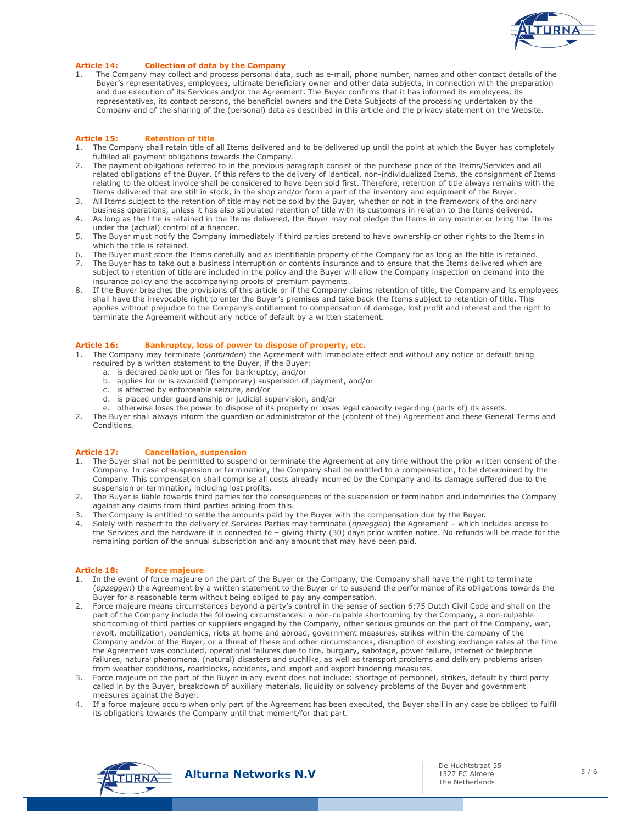

# Article 14: Collection of data by the Company

1. The Company may collect and process personal data, such as e-mail, phone number, names and other contact details of the Buyer's representatives, employees, ultimate beneficiary owner and other data subjects, in connection with the preparation and due execution of its Services and/or the Agreement. The Buyer confirms that it has informed its employees, its representatives, its contact persons, the beneficial owners and the Data Subjects of the processing undertaken by the Company and of the sharing of the (personal) data as described in this article and the privacy statement on the Website.

#### Article 15: Retention of title

- 1. The Company shall retain title of all Items delivered and to be delivered up until the point at which the Buyer has completely fulfilled all payment obligations towards the Company.
- 2. The payment obligations referred to in the previous paragraph consist of the purchase price of the Items/Services and all related obligations of the Buyer. If this refers to the delivery of identical, non-individualized Items, the consignment of Items relating to the oldest invoice shall be considered to have been sold first. Therefore, retention of title always remains with the Items delivered that are still in stock, in the shop and/or form a part of the inventory and equipment of the Buyer.
- 3. All Items subject to the retention of title may not be sold by the Buyer, whether or not in the framework of the ordinary business operations, unless it has also stipulated retention of title with its customers in relation to the Items delivered.
- 4. As long as the title is retained in the Items delivered, the Buyer may not pledge the Items in any manner or bring the Items under the (actual) control of a financer.
- 5. The Buyer must notify the Company immediately if third parties pretend to have ownership or other rights to the Items in which the title is retained.
- 6. The Buyer must store the Items carefully and as identifiable property of the Company for as long as the title is retained. The Buyer has to take out a business interruption or contents insurance and to ensure that the Items delivered which are
- subject to retention of title are included in the policy and the Buyer will allow the Company inspection on demand into the insurance policy and the accompanying proofs of premium payments.
- 8. If the Buyer breaches the provisions of this article or if the Company claims retention of title, the Company and its employees shall have the irrevocable right to enter the Buyer's premises and take back the Items subject to retention of title. This applies without prejudice to the Company's entitlement to compensation of damage, lost profit and interest and the right to terminate the Agreement without any notice of default by a written statement.

#### Article 16: Bankruptcy, loss of power to dispose of property, etc.

- 1. The Company may terminate (ontbinden) the Agreement with immediate effect and without any notice of default being required by a written statement to the Buyer, if the Buyer:
	- a. is declared bankrupt or files for bankruptcy, and/or
	- b. applies for or is awarded (temporary) suspension of payment, and/or
	- c. is affected by enforceable seizure, and/or
	- d. is placed under guardianship or judicial supervision, and/or
	- e. otherwise loses the power to dispose of its property or loses legal capacity regarding (parts of) its assets.
- 2. The Buyer shall always inform the guardian or administrator of the (content of the) Agreement and these General Terms and Conditions.

### Article 17: Cancellation, suspension

- The Buyer shall not be permitted to suspend or terminate the Agreement at any time without the prior written consent of the Company. In case of suspension or termination, the Company shall be entitled to a compensation, to be determined by the Company. This compensation shall comprise all costs already incurred by the Company and its damage suffered due to the suspension or termination, including lost profits.
- 2. The Buyer is liable towards third parties for the consequences of the suspension or termination and indemnifies the Company against any claims from third parties arising from this.
- 3. The Company is entitled to settle the amounts paid by the Buyer with the compensation due by the Buyer.
- 4. Solely with respect to the delivery of Services Parties may terminate (opzeggen) the Agreement which includes access to the Services and the hardware it is connected to – giving thirty (30) days prior written notice. No refunds will be made for the remaining portion of the annual subscription and any amount that may have been paid.

#### Article 18: Force majeure

- 1. In the event of force majeure on the part of the Buyer or the Company, the Company shall have the right to terminate (opzeggen) the Agreement by a written statement to the Buyer or to suspend the performance of its obligations towards the Buyer for a reasonable term without being obliged to pay any compensation.
- 2. Force majeure means circumstances beyond a party's control in the sense of section 6:75 Dutch Civil Code and shall on the part of the Company include the following circumstances: a non-culpable shortcoming by the Company, a non-culpable shortcoming of third parties or suppliers engaged by the Company, other serious grounds on the part of the Company, war, revolt, mobilization, pandemics, riots at home and abroad, government measures, strikes within the company of the Company and/or of the Buyer, or a threat of these and other circumstances, disruption of existing exchange rates at the time the Agreement was concluded, operational failures due to fire, burglary, sabotage, power failure, internet or telephone failures, natural phenomena, (natural) disasters and suchlike, as well as transport problems and delivery problems arisen from weather conditions, roadblocks, accidents, and import and export hindering measures.
- 3. Force majeure on the part of the Buyer in any event does not include: shortage of personnel, strikes, default by third party called in by the Buyer, breakdown of auxiliary materials, liquidity or solvency problems of the Buyer and government measures against the Buyer.
- 4. If a force majeure occurs when only part of the Agreement has been executed, the Buyer shall in any case be obliged to fulfil its obligations towards the Company until that moment/for that part.



De Huchtstraat 35 1327 EC Almere The Netherlands